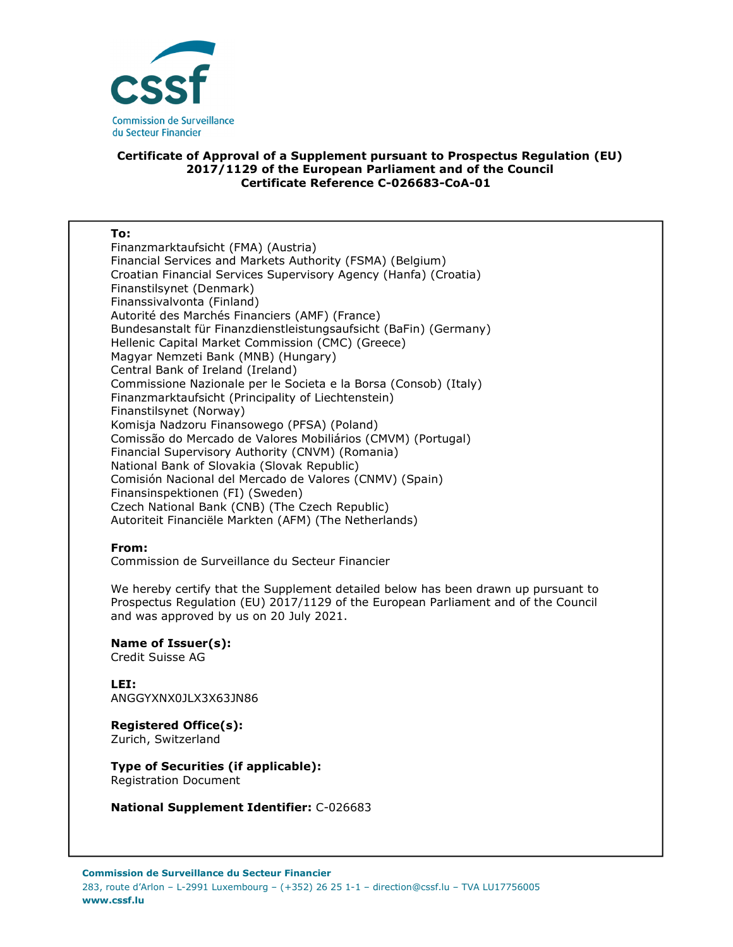

## **Certificate of Approval of a Supplement pursuant to Prospectus Regulation (EU) 2017/1129 of the European Parliament and of the Council Certificate Reference C-026683-CoA-01**

| To:                                                               |
|-------------------------------------------------------------------|
| Finanzmarktaufsicht (FMA) (Austria)                               |
| Financial Services and Markets Authority (FSMA) (Belgium)         |
| Croatian Financial Services Supervisory Agency (Hanfa) (Croatia)  |
| Finanstilsynet (Denmark)                                          |
| Finanssivalvonta (Finland)                                        |
| Autorité des Marchés Financiers (AMF) (France)                    |
| Bundesanstalt für Finanzdienstleistungsaufsicht (BaFin) (Germany) |
| Hellenic Capital Market Commission (CMC) (Greece)                 |
| Magyar Nemzeti Bank (MNB) (Hungary)                               |
| Central Bank of Ireland (Ireland)                                 |
| Commissione Nazionale per le Societa e la Borsa (Consob) (Italy)  |
| Finanzmarktaufsicht (Principality of Liechtenstein)               |
| Finanstilsynet (Norway)                                           |
| Komisja Nadzoru Finansowego (PFSA) (Poland)                       |
| Comissão do Mercado de Valores Mobiliários (CMVM) (Portugal)      |
| Financial Supervisory Authority (CNVM) (Romania)                  |
| National Bank of Slovakia (Slovak Republic)                       |
| Comisión Nacional del Mercado de Valores (CNMV) (Spain)           |
| Finansinspektionen (FI) (Sweden)                                  |
| Czech National Bank (CNB) (The Czech Republic)                    |
| Autoriteit Financiële Markten (AFM) (The Netherlands)             |

## **From:**

Commission de Surveillance du Secteur Financier

We hereby certify that the Supplement detailed below has been drawn up pursuant to Prospectus Regulation (EU) 2017/1129 of the European Parliament and of the Council and was approved by us on 20 July 2021.

**Name of Issuer(s):**  Credit Suisse AG

**LEI:** ANGGYXNX0JLX3X63JN86

**Registered Office(s):**  Zurich, Switzerland

**Type of Securities (if applicable):**  Registration Document

**National Supplement Identifier:** C-026683